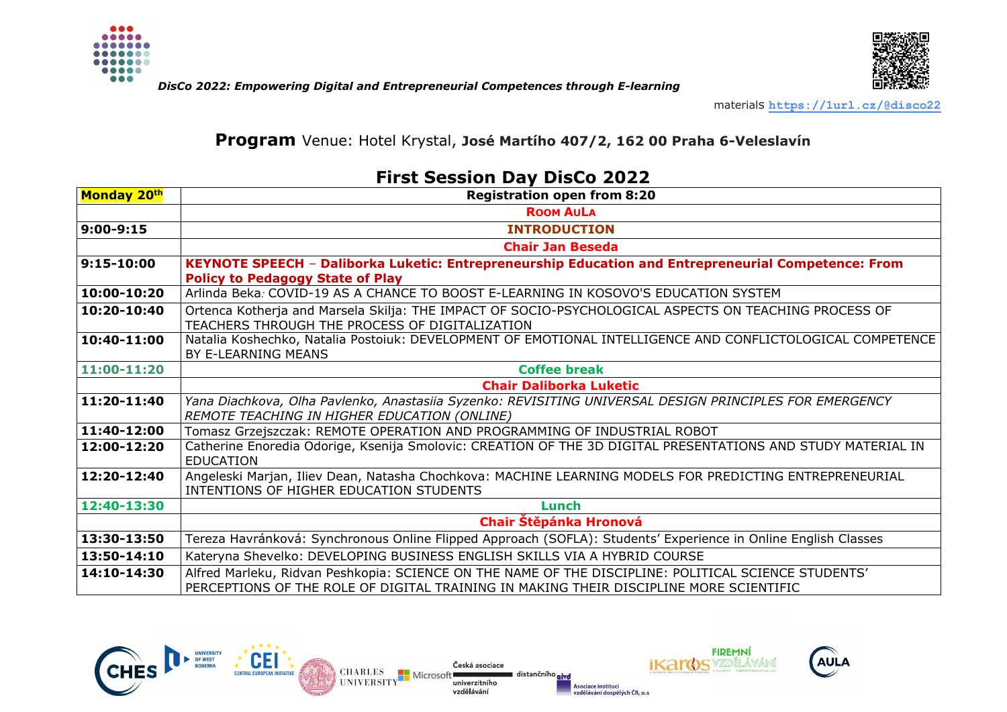





materials **<https://1url.cz/@disco22>**

### **Program** Venue: Hotel Krystal, **José Martího 407/2, 162 00 Praha 6-Veleslavín**

## **First Session Day DisCo 2022**

| Monday 20th | <b>Registration open from 8:20</b>                                                                                                                                                             |
|-------------|------------------------------------------------------------------------------------------------------------------------------------------------------------------------------------------------|
|             | <b>ROOM AULA</b>                                                                                                                                                                               |
| 9:00-9:15   | <b>INTRODUCTION</b>                                                                                                                                                                            |
|             | <b>Chair Jan Beseda</b>                                                                                                                                                                        |
| 9:15-10:00  | KEYNOTE SPEECH - Daliborka Luketic: Entrepreneurship Education and Entrepreneurial Competence: From                                                                                            |
|             | <b>Policy to Pedagogy State of Play</b>                                                                                                                                                        |
| 10:00-10:20 | Arlinda Beka: COVID-19 AS A CHANCE TO BOOST E-LEARNING IN KOSOVO'S EDUCATION SYSTEM                                                                                                            |
| 10:20-10:40 | Ortenca Kotherja and Marsela Skilja: THE IMPACT OF SOCIO-PSYCHOLOGICAL ASPECTS ON TEACHING PROCESS OF                                                                                          |
|             | TEACHERS THROUGH THE PROCESS OF DIGITALIZATION                                                                                                                                                 |
| 10:40-11:00 | Natalia Koshechko, Natalia Postoiuk: DEVELOPMENT OF EMOTIONAL INTELLIGENCE AND CONFLICTOLOGICAL COMPETENCE<br>BY E-LEARNING MEANS                                                              |
| 11:00-11:20 | <b>Coffee break</b>                                                                                                                                                                            |
|             | <b>Chair Daliborka Luketic</b>                                                                                                                                                                 |
| 11:20-11:40 | Yana Diachkova, Olha Pavlenko, Anastasiia Syzenko: REVISITING UNIVERSAL DESIGN PRINCIPLES FOR EMERGENCY                                                                                        |
|             | REMOTE TEACHING IN HIGHER EDUCATION (ONLINE)                                                                                                                                                   |
| 11:40-12:00 | Tomasz Grzejszczak: REMOTE OPERATION AND PROGRAMMING OF INDUSTRIAL ROBOT                                                                                                                       |
| 12:00-12:20 | Catherine Enoredia Odorige, Ksenija Smolovic: CREATION OF THE 3D DIGITAL PRESENTATIONS AND STUDY MATERIAL IN<br><b>EDUCATION</b>                                                               |
| 12:20-12:40 | Angeleski Marjan, Iliev Dean, Natasha Chochkova: MACHINE LEARNING MODELS FOR PREDICTING ENTREPRENEURIAL<br>INTENTIONS OF HIGHER EDUCATION STUDENTS                                             |
| 12:40-13:30 | Lunch                                                                                                                                                                                          |
|             | Chair Štěpánka Hronová                                                                                                                                                                         |
| 13:30-13:50 | Tereza Havránková: Synchronous Online Flipped Approach (SOFLA): Students' Experience in Online English Classes                                                                                 |
| 13:50-14:10 | Kateryna Shevelko: DEVELOPING BUSINESS ENGLISH SKILLS VIA A HYBRID COURSE                                                                                                                      |
| 14:10-14:30 | Alfred Marleku, Ridvan Peshkopia: SCIENCE ON THE NAME OF THE DISCIPLINE: POLITICAL SCIENCE STUDENTS'<br>PERCEPTIONS OF THE ROLE OF DIGITAL TRAINING IN MAKING THEIR DISCIPLINE MORE SCIENTIFIC |

distančního aive

Asociace institucí



CEI

CENTRAL FUROPEAN INITIATIVE

Česká asociace **CHARLES** Microso **UNIVERSITY** univerzitního vzdělávání



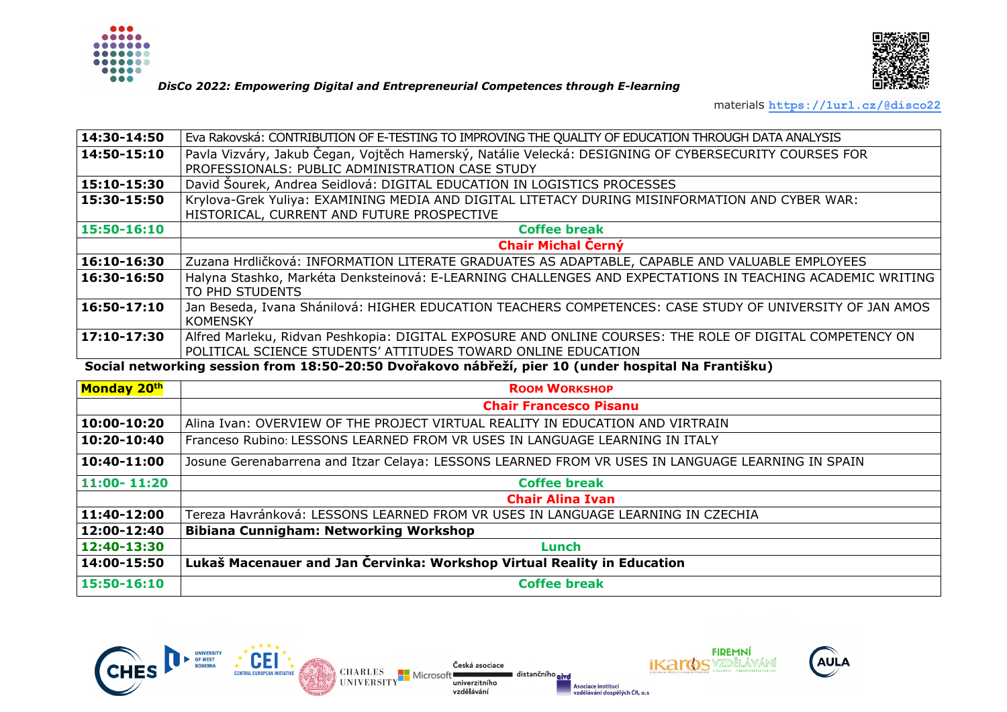



#### *DisCo 2022: Empowering Digital and Entrepreneurial Competences through E-learning*

materials **<https://1url.cz/@disco22>**

| $\sqrt{14:30-14:50}$                                                                                | Eva Rakovská: CONTRIBUTION OF E-TESTING TO IMPROVING THE QUALITY OF EDUCATION THROUGH DATA ANALYSIS                          |  |
|-----------------------------------------------------------------------------------------------------|------------------------------------------------------------------------------------------------------------------------------|--|
| $14:50 - 15:10$                                                                                     | Pavla Vizváry, Jakub Čegan, Vojtěch Hamerský, Natálie Velecká: DESIGNING OF CYBERSECURITY COURSES FOR                        |  |
|                                                                                                     | PROFESSIONALS: PUBLIC ADMINISTRATION CASE STUDY                                                                              |  |
| 15:10-15:30                                                                                         | David Sourek, Andrea Seidlová: DIGITAL EDUCATION IN LOGISTICS PROCESSES                                                      |  |
| 15:30-15:50                                                                                         | Krylova-Grek Yuliya: EXAMINING MEDIA AND DIGITAL LITETACY DURING MISINFORMATION AND CYBER WAR:                               |  |
|                                                                                                     | HISTORICAL, CURRENT AND FUTURE PROSPECTIVE                                                                                   |  |
| 15:50-16:10                                                                                         | <b>Coffee break</b>                                                                                                          |  |
|                                                                                                     | Chair Michal Černý                                                                                                           |  |
| $16:10-16:30$                                                                                       | Zuzana Hrdličková: INFORMATION LITERATE GRADUATES AS ADAPTABLE, CAPABLE AND VALUABLE EMPLOYEES                               |  |
| 16:30-16:50                                                                                         | Halyna Stashko, Markéta Denksteinová: E-LEARNING CHALLENGES AND EXPECTATIONS IN TEACHING ACADEMIC WRITING<br>TO PHD STUDENTS |  |
| $16:50-17:10$                                                                                       | Jan Beseda, Ivana Shánilová: HIGHER EDUCATION TEACHERS COMPETENCES: CASE STUDY OF UNIVERSITY OF JAN AMOS                     |  |
|                                                                                                     | <b>KOMENSKY</b>                                                                                                              |  |
| $17:10-17:30$                                                                                       | Alfred Marleku, Ridvan Peshkopia: DIGITAL EXPOSURE AND ONLINE COURSES: THE ROLE OF DIGITAL COMPETENCY ON                     |  |
|                                                                                                     | POLITICAL SCIENCE STUDENTS' ATTITUDES TOWARD ONLINE EDUCATION                                                                |  |
| Social networking session from 18:50-20:50 Dvořakovo nábřeží, pier 10 (under hospital Na Františku) |                                                                                                                              |  |

**Monday 20<sup>th</sup> Room Workshop** Room Workshop **Chair Francesco Pisanu** 10:00-10:20 Alina Ivan: OVERVIEW OF THE PROJECT VIRTUAL REALITY IN EDUCATION AND VIRTRAIN **10:20-10:40** Franceso Rubino: LESSONS LEARNED FROM VR USES IN LANGUAGE LEARNING IN ITALY **10:40-11:00** Josune Gerenabarrena and Itzar Celaya: LESSONS LEARNED FROM VR USES IN LANGUAGE LEARNING IN SPAIN **11:00- 11:20 Coffee break Chair Alina Ivan 11:40-12:00** Tereza Havránková: LESSONS LEARNED FROM VR USES IN LANGUAGE LEARNING IN CZECHIA **12:00-12:40 Bibiana Cunnigham: Networking Workshop 12:40-13:30 Lunch 14:00-15:50 Lukaš Macenauer and Jan Červinka: Workshop Virtual Reality in Education** 

Česká asociace

univerzitního

vzdělávání

Microso

**CHARLES** 

**HNIVERSITY** 

**15:50-16:10 Coffee break**

distančního aive





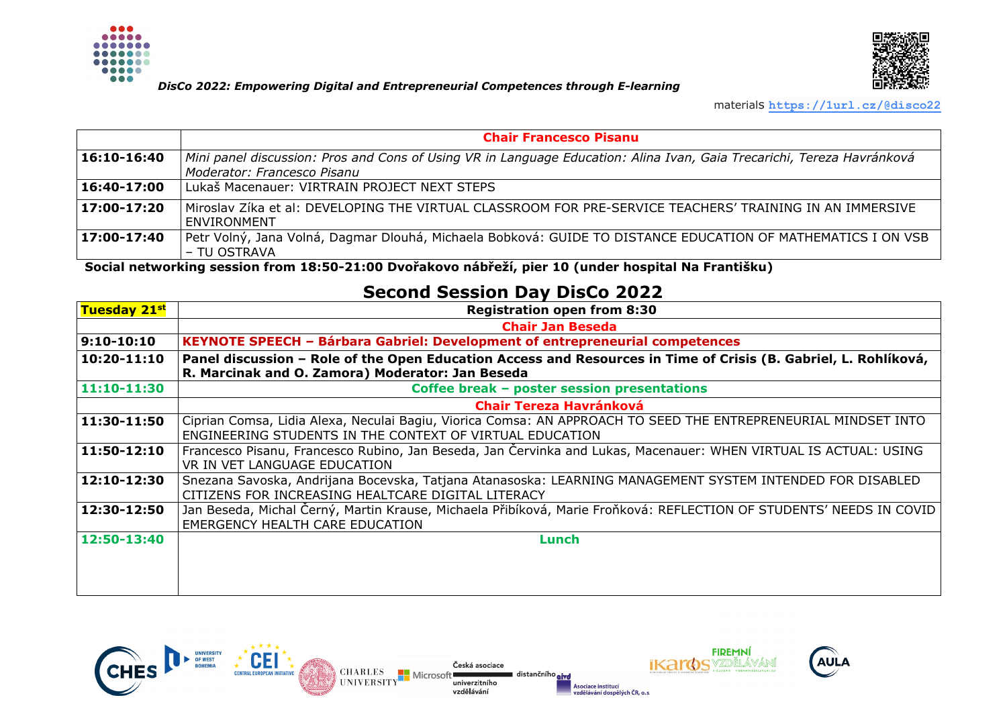

#### *DisCo 2022: Empowering Digital and Entrepreneurial Competences through E-learning*



materials **<https://1url.cz/@disco22>**

|                      | <b>Chair Francesco Pisanu</b>                                                                                                                         |
|----------------------|-------------------------------------------------------------------------------------------------------------------------------------------------------|
| $16:10 - 16:40$      | Mini panel discussion: Pros and Cons of Using VR in Language Education: Alina Ivan, Gaia Trecarichi, Tereza Havránková<br>Moderator: Francesco Pisanu |
| 16:40-17:00          | Lukaš Macenauer: VIRTRAIN PROJECT NEXT STEPS                                                                                                          |
| $\sqrt{17:00-17:20}$ | Miroslav Zíka et al: DEVELOPING THE VIRTUAL CLASSROOM FOR PRE-SERVICE TEACHERS' TRAINING IN AN IMMERSIVE<br><b>ENVIRONMENT</b>                        |
| 17:00-17:40          | Petr Volný, Jana Volná, Dagmar Dlouhá, Michaela Bobková: GUIDE TO DISTANCE EDUCATION OF MATHEMATICS I ON VSB  <br>- TU OSTRAVA                        |

**Social networking session from 18:50-21:00 Dvořakovo nábřeží, pier 10 (under hospital Na Františku)**

# **Second Session Day DisCo 2022**

| <b>Tuesday 21st</b> | <b>Registration open from 8:30</b>                                                                                                                                         |
|---------------------|----------------------------------------------------------------------------------------------------------------------------------------------------------------------------|
|                     | <b>Chair Jan Beseda</b>                                                                                                                                                    |
| $9:10-10:10$        | KEYNOTE SPEECH - Bárbara Gabriel: Development of entrepreneurial competences                                                                                               |
| 10:20-11:10         | Panel discussion - Role of the Open Education Access and Resources in Time of Crisis (B. Gabriel, L. Rohlíková,                                                            |
|                     | R. Marcinak and O. Zamora) Moderator: Jan Beseda                                                                                                                           |
| $11:10-11:30$       | Coffee break - poster session presentations                                                                                                                                |
|                     | <b>Chair Tereza Havránková</b>                                                                                                                                             |
| 11:30-11:50         | Ciprian Comsa, Lidia Alexa, Neculai Bagiu, Viorica Comsa: AN APPROACH TO SEED THE ENTREPRENEURIAL MINDSET INTO<br>ENGINEERING STUDENTS IN THE CONTEXT OF VIRTUAL EDUCATION |
| 11:50-12:10         | Francesco Pisanu, Francesco Rubino, Jan Beseda, Jan Cervinka and Lukas, Macenauer: WHEN VIRTUAL IS ACTUAL: USING<br>VR IN VET LANGUAGE EDUCATION                           |
| 12:10-12:30         | Snezana Savoska, Andrijana Bocevska, Tatjana Atanasoska: LEARNING MANAGEMENT SYSTEM INTENDED FOR DISABLED<br>CITIZENS FOR INCREASING HEALTCARE DIGITAL LITERACY            |
| 12:30-12:50         | Jan Beseda, Michal Černý, Martin Krause, Michaela Přibíková, Marie Froňková: REFLECTION OF STUDENTS' NEEDS IN COVID<br>EMERGENCY HEALTH CARE EDUCATION                     |
| 12:50-13:40         | Lunch                                                                                                                                                                      |
|                     |                                                                                                                                                                            |

distančního aivd

Asociace institucí



Česká asociace **CHARLES** Microsof **UNIVERSITY** univerzitního vzdělávání